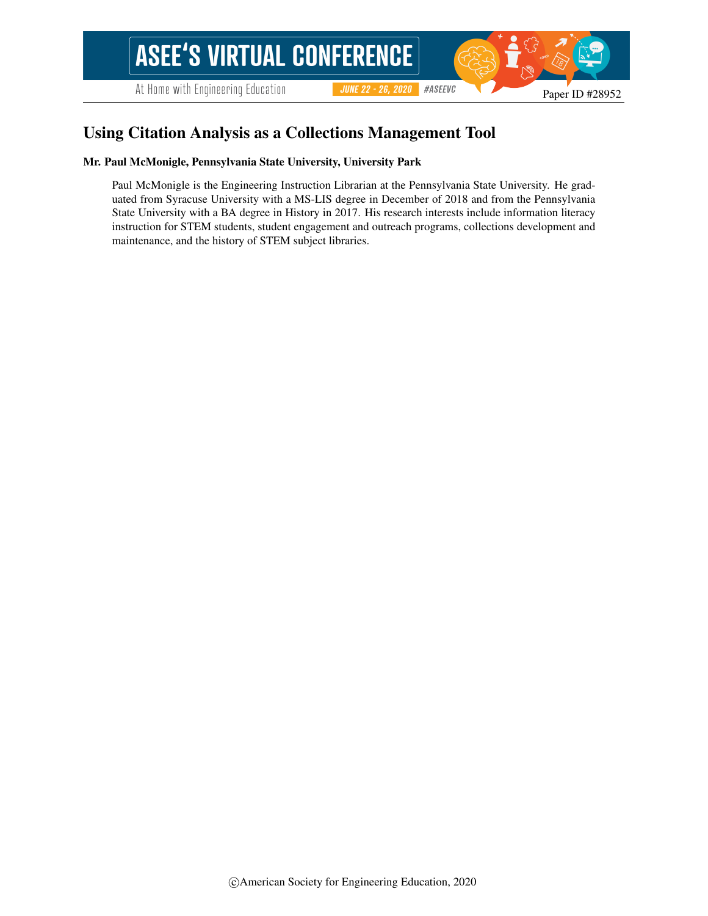At Home with Engineering Education

#ASEEVC **JUNE 22 - 26, 2020** 

# Using Citation Analysis as a Collections Management Tool

#### Mr. Paul McMonigle, Pennsylvania State University, University Park

Paul McMonigle is the Engineering Instruction Librarian at the Pennsylvania State University. He graduated from Syracuse University with a MS-LIS degree in December of 2018 and from the Pennsylvania State University with a BA degree in History in 2017. His research interests include information literacy instruction for STEM students, student engagement and outreach programs, collections development and maintenance, and the history of STEM subject libraries.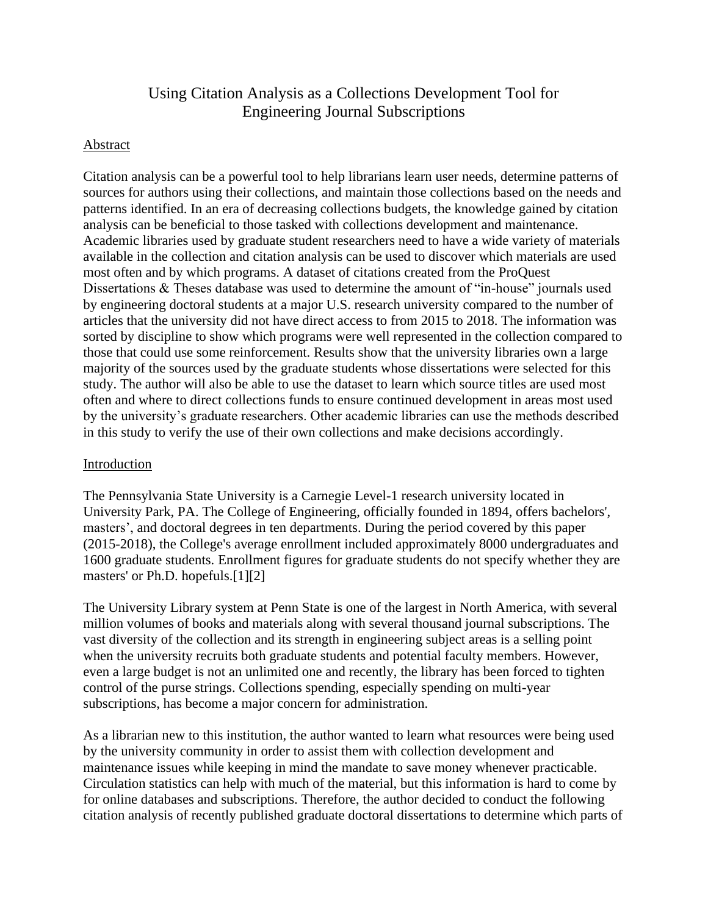# Using Citation Analysis as a Collections Development Tool for Engineering Journal Subscriptions

# Abstract

Citation analysis can be a powerful tool to help librarians learn user needs, determine patterns of sources for authors using their collections, and maintain those collections based on the needs and patterns identified. In an era of decreasing collections budgets, the knowledge gained by citation analysis can be beneficial to those tasked with collections development and maintenance. Academic libraries used by graduate student researchers need to have a wide variety of materials available in the collection and citation analysis can be used to discover which materials are used most often and by which programs. A dataset of citations created from the ProQuest Dissertations & Theses database was used to determine the amount of "in-house" journals used by engineering doctoral students at a major U.S. research university compared to the number of articles that the university did not have direct access to from 2015 to 2018. The information was sorted by discipline to show which programs were well represented in the collection compared to those that could use some reinforcement. Results show that the university libraries own a large majority of the sources used by the graduate students whose dissertations were selected for this study. The author will also be able to use the dataset to learn which source titles are used most often and where to direct collections funds to ensure continued development in areas most used by the university's graduate researchers. Other academic libraries can use the methods described in this study to verify the use of their own collections and make decisions accordingly.

### Introduction

The Pennsylvania State University is a Carnegie Level-1 research university located in University Park, PA. The College of Engineering, officially founded in 1894, offers bachelors', masters', and doctoral degrees in ten departments. During the period covered by this paper (2015-2018), the College's average enrollment included approximately 8000 undergraduates and 1600 graduate students. Enrollment figures for graduate students do not specify whether they are masters' or Ph.D. hopefuls.[1][2]

The University Library system at Penn State is one of the largest in North America, with several million volumes of books and materials along with several thousand journal subscriptions. The vast diversity of the collection and its strength in engineering subject areas is a selling point when the university recruits both graduate students and potential faculty members. However, even a large budget is not an unlimited one and recently, the library has been forced to tighten control of the purse strings. Collections spending, especially spending on multi-year subscriptions, has become a major concern for administration.

As a librarian new to this institution, the author wanted to learn what resources were being used by the university community in order to assist them with collection development and maintenance issues while keeping in mind the mandate to save money whenever practicable. Circulation statistics can help with much of the material, but this information is hard to come by for online databases and subscriptions. Therefore, the author decided to conduct the following citation analysis of recently published graduate doctoral dissertations to determine which parts of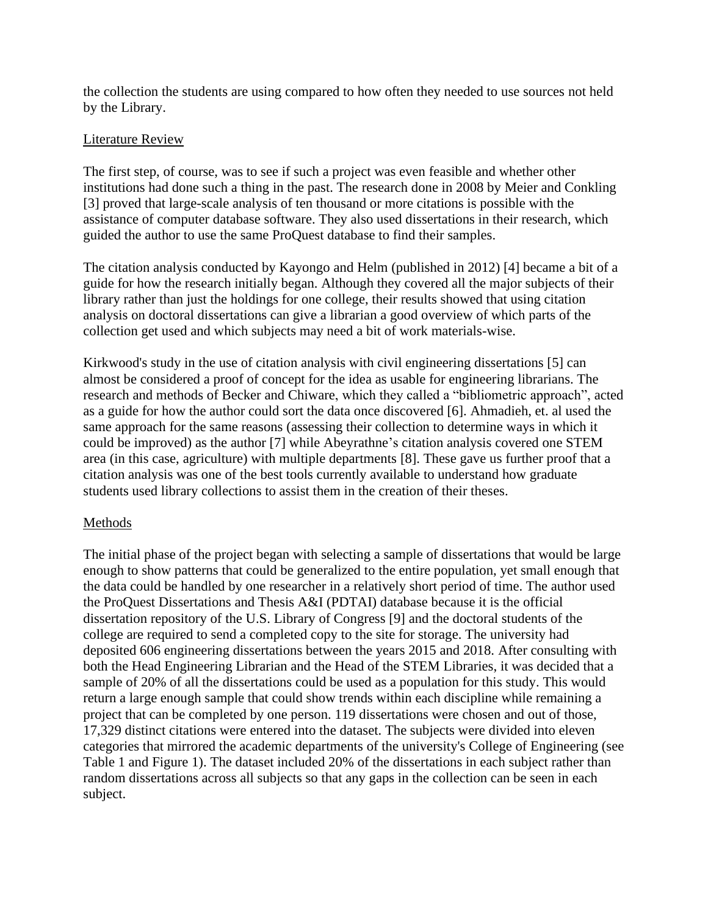the collection the students are using compared to how often they needed to use sources not held by the Library.

# Literature Review

The first step, of course, was to see if such a project was even feasible and whether other institutions had done such a thing in the past. The research done in 2008 by Meier and Conkling [3] proved that large-scale analysis of ten thousand or more citations is possible with the assistance of computer database software. They also used dissertations in their research, which guided the author to use the same ProQuest database to find their samples.

The citation analysis conducted by Kayongo and Helm (published in 2012) [4] became a bit of a guide for how the research initially began. Although they covered all the major subjects of their library rather than just the holdings for one college, their results showed that using citation analysis on doctoral dissertations can give a librarian a good overview of which parts of the collection get used and which subjects may need a bit of work materials-wise.

Kirkwood's study in the use of citation analysis with civil engineering dissertations [5] can almost be considered a proof of concept for the idea as usable for engineering librarians. The research and methods of Becker and Chiware, which they called a "bibliometric approach", acted as a guide for how the author could sort the data once discovered [6]. Ahmadieh, et. al used the same approach for the same reasons (assessing their collection to determine ways in which it could be improved) as the author [7] while Abeyrathne's citation analysis covered one STEM area (in this case, agriculture) with multiple departments [8]. These gave us further proof that a citation analysis was one of the best tools currently available to understand how graduate students used library collections to assist them in the creation of their theses.

### Methods

The initial phase of the project began with selecting a sample of dissertations that would be large enough to show patterns that could be generalized to the entire population, yet small enough that the data could be handled by one researcher in a relatively short period of time. The author used the ProQuest Dissertations and Thesis A&I (PDTAI) database because it is the official dissertation repository of the U.S. Library of Congress [9] and the doctoral students of the college are required to send a completed copy to the site for storage. The university had deposited 606 engineering dissertations between the years 2015 and 2018. After consulting with both the Head Engineering Librarian and the Head of the STEM Libraries, it was decided that a sample of 20% of all the dissertations could be used as a population for this study. This would return a large enough sample that could show trends within each discipline while remaining a project that can be completed by one person. 119 dissertations were chosen and out of those, 17,329 distinct citations were entered into the dataset. The subjects were divided into eleven categories that mirrored the academic departments of the university's College of Engineering (see Table 1 and Figure 1). The dataset included 20% of the dissertations in each subject rather than random dissertations across all subjects so that any gaps in the collection can be seen in each subject.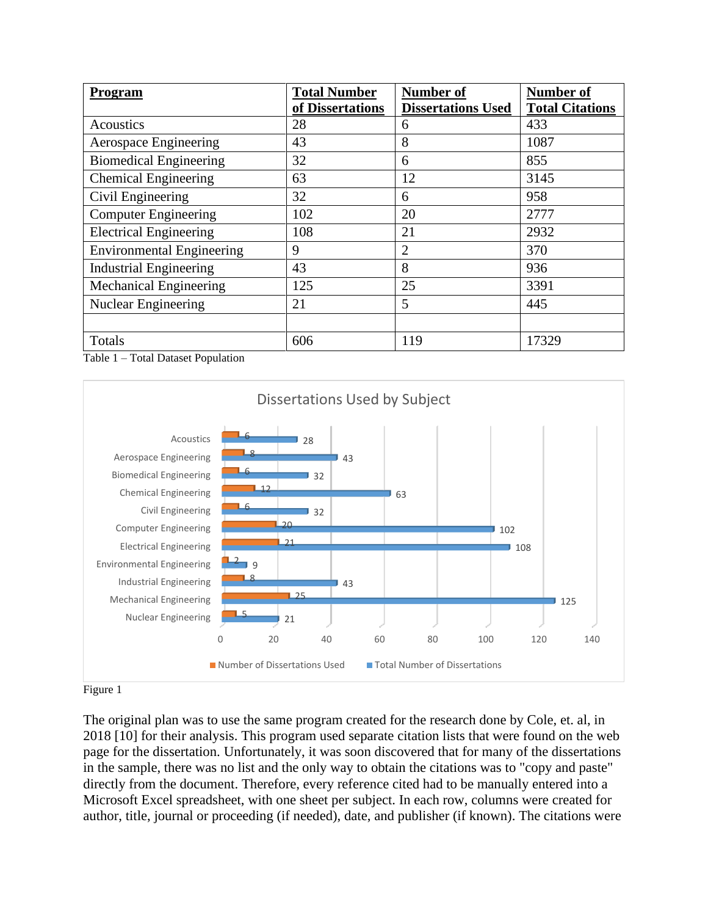| <b>Program</b>                   | <b>Total Number</b> | <b>Number of</b>          | <b>Number of</b>       |
|----------------------------------|---------------------|---------------------------|------------------------|
|                                  | of Dissertations    | <b>Dissertations Used</b> | <b>Total Citations</b> |
| Acoustics                        | 28                  | 6                         | 433                    |
| <b>Aerospace Engineering</b>     | 43                  | 8                         | 1087                   |
| <b>Biomedical Engineering</b>    | 32                  | 6                         | 855                    |
| <b>Chemical Engineering</b>      | 63                  | 12                        | 3145                   |
| Civil Engineering                | 32                  | 6                         | 958                    |
| <b>Computer Engineering</b>      | 102                 | 20                        | 2777                   |
| <b>Electrical Engineering</b>    | 108                 | 21                        | 2932                   |
| <b>Environmental Engineering</b> | 9                   | $\overline{2}$            | 370                    |
| <b>Industrial Engineering</b>    | 43                  | 8                         | 936                    |
| <b>Mechanical Engineering</b>    | 125                 | 25                        | 3391                   |
| Nuclear Engineering              | 21                  | 5                         | 445                    |
|                                  |                     |                           |                        |
| Totals                           | 606                 | 119                       | 17329                  |

Table 1 – Total Dataset Population



Figure 1

The original plan was to use the same program created for the research done by Cole, et. al, in 2018 [10] for their analysis. This program used separate citation lists that were found on the web page for the dissertation. Unfortunately, it was soon discovered that for many of the dissertations in the sample, there was no list and the only way to obtain the citations was to "copy and paste" directly from the document. Therefore, every reference cited had to be manually entered into a Microsoft Excel spreadsheet, with one sheet per subject. In each row, columns were created for author, title, journal or proceeding (if needed), date, and publisher (if known). The citations were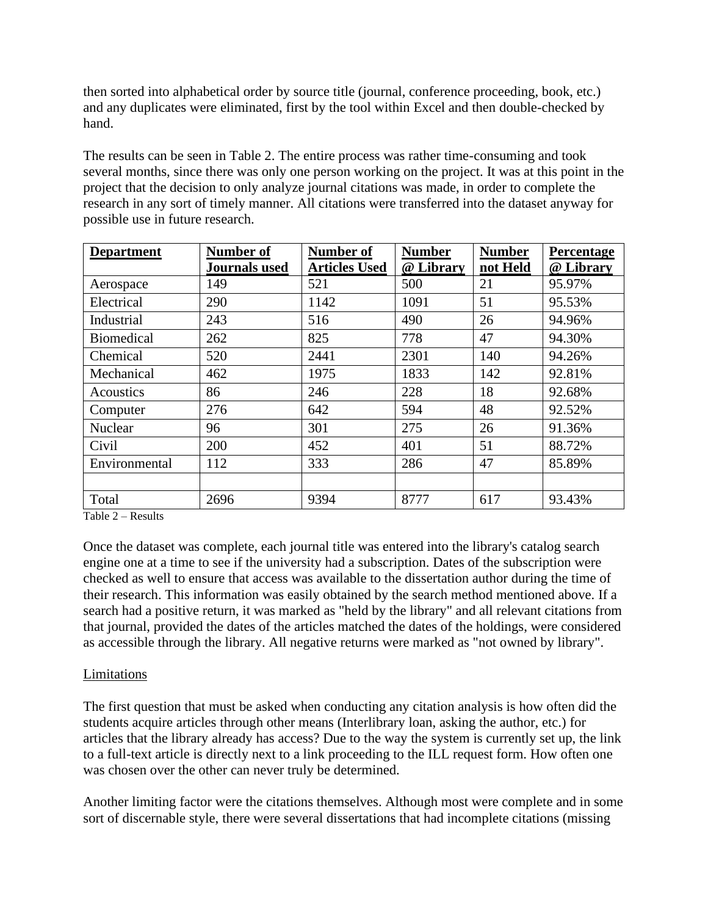then sorted into alphabetical order by source title (journal, conference proceeding, book, etc.) and any duplicates were eliminated, first by the tool within Excel and then double-checked by hand.

The results can be seen in Table 2. The entire process was rather time-consuming and took several months, since there was only one person working on the project. It was at this point in the project that the decision to only analyze journal citations was made, in order to complete the research in any sort of timely manner. All citations were transferred into the dataset anyway for possible use in future research.

| <b>Department</b> | <b>Number of</b>     | Number of            | <b>Number</b> | <b>Number</b> | Percentage |
|-------------------|----------------------|----------------------|---------------|---------------|------------|
|                   | <b>Journals</b> used | <b>Articles Used</b> | @ Library     | not Held      | @ Library  |
| Aerospace         | 149                  | 521                  | 500           | 21            | 95.97%     |
| Electrical        | 290                  | 1142                 | 1091          | 51            | 95.53%     |
| Industrial        | 243                  | 516                  | 490           | 26            | 94.96%     |
| <b>Biomedical</b> | 262                  | 825                  | 778           | 47            | 94.30%     |
| Chemical          | 520                  | 2441                 | 2301          | 140           | 94.26%     |
| Mechanical        | 462                  | 1975                 | 1833          | 142           | 92.81%     |
| Acoustics         | 86                   | 246                  | 228           | 18            | 92.68%     |
| Computer          | 276                  | 642                  | 594           | 48            | 92.52%     |
| Nuclear           | 96                   | 301                  | 275           | 26            | 91.36%     |
| Civil             | 200                  | 452                  | 401           | 51            | 88.72%     |
| Environmental     | 112                  | 333                  | 286           | 47            | 85.89%     |
|                   |                      |                      |               |               |            |
| Total             | 2696                 | 9394                 | 8777          | 617           | 93.43%     |

Table 2 – Results

Once the dataset was complete, each journal title was entered into the library's catalog search engine one at a time to see if the university had a subscription. Dates of the subscription were checked as well to ensure that access was available to the dissertation author during the time of their research. This information was easily obtained by the search method mentioned above. If a search had a positive return, it was marked as "held by the library" and all relevant citations from that journal, provided the dates of the articles matched the dates of the holdings, were considered as accessible through the library. All negative returns were marked as "not owned by library".

### Limitations

The first question that must be asked when conducting any citation analysis is how often did the students acquire articles through other means (Interlibrary loan, asking the author, etc.) for articles that the library already has access? Due to the way the system is currently set up, the link to a full-text article is directly next to a link proceeding to the ILL request form. How often one was chosen over the other can never truly be determined.

Another limiting factor were the citations themselves. Although most were complete and in some sort of discernable style, there were several dissertations that had incomplete citations (missing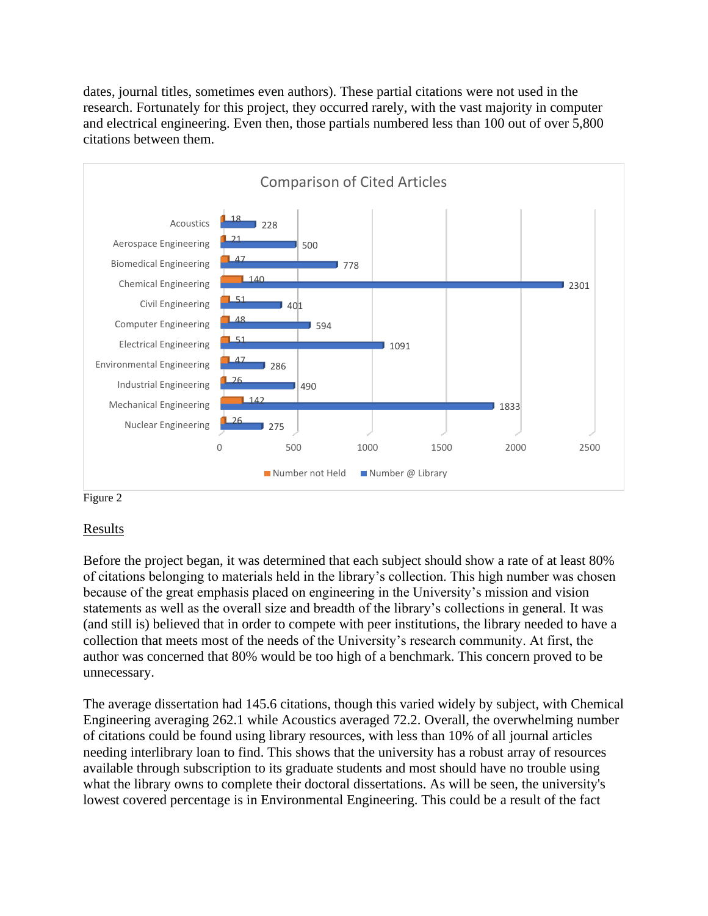dates, journal titles, sometimes even authors). These partial citations were not used in the research. Fortunately for this project, they occurred rarely, with the vast majority in computer and electrical engineering. Even then, those partials numbered less than 100 out of over 5,800 citations between them.



Figure 2

### Results

Before the project began, it was determined that each subject should show a rate of at least 80% of citations belonging to materials held in the library's collection. This high number was chosen because of the great emphasis placed on engineering in the University's mission and vision statements as well as the overall size and breadth of the library's collections in general. It was (and still is) believed that in order to compete with peer institutions, the library needed to have a collection that meets most of the needs of the University's research community. At first, the author was concerned that 80% would be too high of a benchmark. This concern proved to be unnecessary.

The average dissertation had 145.6 citations, though this varied widely by subject, with Chemical Engineering averaging 262.1 while Acoustics averaged 72.2. Overall, the overwhelming number of citations could be found using library resources, with less than 10% of all journal articles needing interlibrary loan to find. This shows that the university has a robust array of resources available through subscription to its graduate students and most should have no trouble using what the library owns to complete their doctoral dissertations. As will be seen, the university's lowest covered percentage is in Environmental Engineering. This could be a result of the fact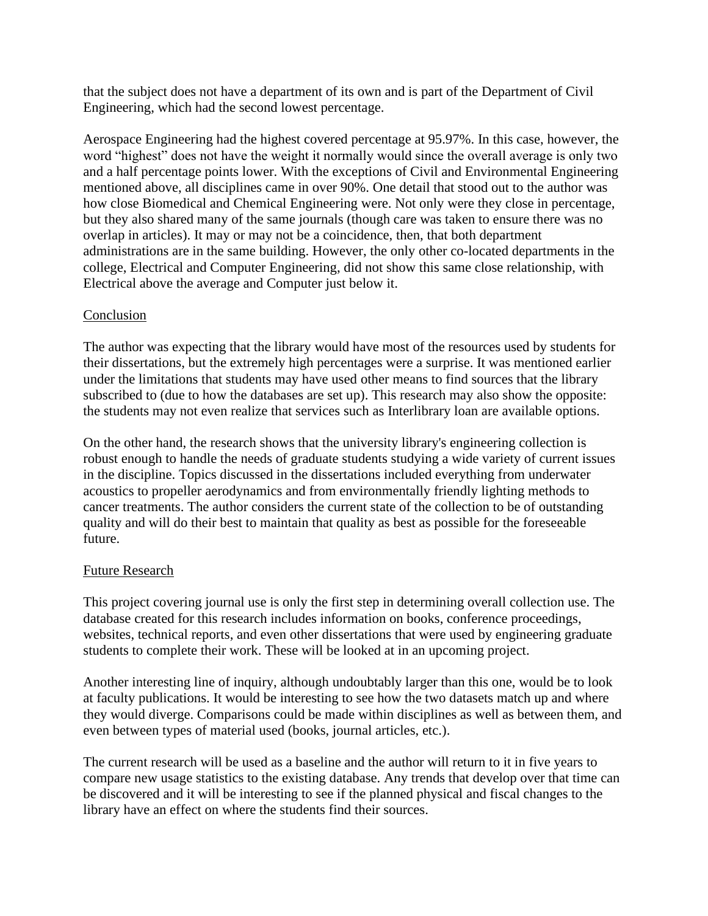that the subject does not have a department of its own and is part of the Department of Civil Engineering, which had the second lowest percentage.

Aerospace Engineering had the highest covered percentage at 95.97%. In this case, however, the word "highest" does not have the weight it normally would since the overall average is only two and a half percentage points lower. With the exceptions of Civil and Environmental Engineering mentioned above, all disciplines came in over 90%. One detail that stood out to the author was how close Biomedical and Chemical Engineering were. Not only were they close in percentage, but they also shared many of the same journals (though care was taken to ensure there was no overlap in articles). It may or may not be a coincidence, then, that both department administrations are in the same building. However, the only other co-located departments in the college, Electrical and Computer Engineering, did not show this same close relationship, with Electrical above the average and Computer just below it.

# Conclusion

The author was expecting that the library would have most of the resources used by students for their dissertations, but the extremely high percentages were a surprise. It was mentioned earlier under the limitations that students may have used other means to find sources that the library subscribed to (due to how the databases are set up). This research may also show the opposite: the students may not even realize that services such as Interlibrary loan are available options.

On the other hand, the research shows that the university library's engineering collection is robust enough to handle the needs of graduate students studying a wide variety of current issues in the discipline. Topics discussed in the dissertations included everything from underwater acoustics to propeller aerodynamics and from environmentally friendly lighting methods to cancer treatments. The author considers the current state of the collection to be of outstanding quality and will do their best to maintain that quality as best as possible for the foreseeable future.

### Future Research

This project covering journal use is only the first step in determining overall collection use. The database created for this research includes information on books, conference proceedings, websites, technical reports, and even other dissertations that were used by engineering graduate students to complete their work. These will be looked at in an upcoming project.

Another interesting line of inquiry, although undoubtably larger than this one, would be to look at faculty publications. It would be interesting to see how the two datasets match up and where they would diverge. Comparisons could be made within disciplines as well as between them, and even between types of material used (books, journal articles, etc.).

The current research will be used as a baseline and the author will return to it in five years to compare new usage statistics to the existing database. Any trends that develop over that time can be discovered and it will be interesting to see if the planned physical and fiscal changes to the library have an effect on where the students find their sources.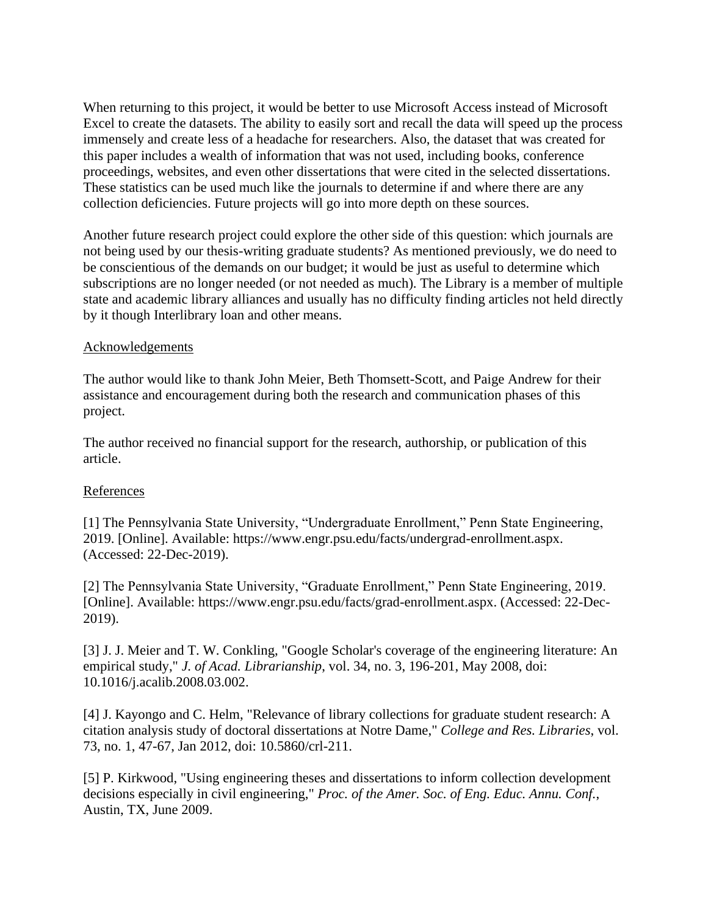When returning to this project, it would be better to use Microsoft Access instead of Microsoft Excel to create the datasets. The ability to easily sort and recall the data will speed up the process immensely and create less of a headache for researchers. Also, the dataset that was created for this paper includes a wealth of information that was not used, including books, conference proceedings, websites, and even other dissertations that were cited in the selected dissertations. These statistics can be used much like the journals to determine if and where there are any collection deficiencies. Future projects will go into more depth on these sources.

Another future research project could explore the other side of this question: which journals are not being used by our thesis-writing graduate students? As mentioned previously, we do need to be conscientious of the demands on our budget; it would be just as useful to determine which subscriptions are no longer needed (or not needed as much). The Library is a member of multiple state and academic library alliances and usually has no difficulty finding articles not held directly by it though Interlibrary loan and other means.

### Acknowledgements

The author would like to thank John Meier, Beth Thomsett-Scott, and Paige Andrew for their assistance and encouragement during both the research and communication phases of this project.

The author received no financial support for the research, authorship, or publication of this article.

# References

[1] The Pennsylvania State University, "Undergraduate Enrollment," Penn State Engineering, 2019. [Online]. Available: https://www.engr.psu.edu/facts/undergrad-enrollment.aspx. (Accessed: 22-Dec-2019).

[2] The Pennsylvania State University, "Graduate Enrollment," Penn State Engineering, 2019. [Online]. Available: https://www.engr.psu.edu/facts/grad-enrollment.aspx. (Accessed: 22-Dec-2019).

[3] J. J. Meier and T. W. Conkling, "Google Scholar's coverage of the engineering literature: An empirical study," *J. of Acad. Librarianship*, vol. 34, no. 3, 196-201, May 2008, doi: 10.1016/j.acalib.2008.03.002.

[4] J. Kayongo and C. Helm, "Relevance of library collections for graduate student research: A citation analysis study of doctoral dissertations at Notre Dame," *College and Res. Libraries*, vol. 73, no. 1, 47-67, Jan 2012, doi: 10.5860/crl-211.

[5] P. Kirkwood, "Using engineering theses and dissertations to inform collection development decisions especially in civil engineering," *Proc. of the Amer. Soc. of Eng. Educ. Annu. Conf.*, Austin, TX, June 2009.